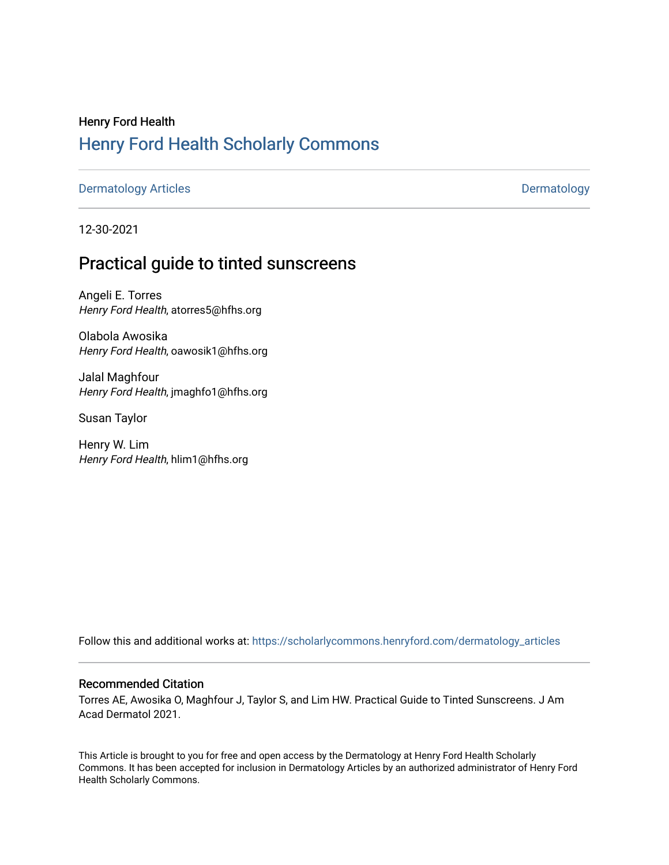# Henry Ford Health [Henry Ford Health Scholarly Commons](https://scholarlycommons.henryford.com/)

[Dermatology Articles](https://scholarlycommons.henryford.com/dermatology_articles) **Dermatology** 

12-30-2021

## Practical guide to tinted sunscreens

Angeli E. Torres Henry Ford Health, atorres5@hfhs.org

Olabola Awosika Henry Ford Health, oawosik1@hfhs.org

Jalal Maghfour Henry Ford Health, jmaghfo1@hfhs.org

Susan Taylor

Henry W. Lim Henry Ford Health, hlim1@hfhs.org

Follow this and additional works at: [https://scholarlycommons.henryford.com/dermatology\\_articles](https://scholarlycommons.henryford.com/dermatology_articles?utm_source=scholarlycommons.henryford.com%2Fdermatology_articles%2F625&utm_medium=PDF&utm_campaign=PDFCoverPages)

### Recommended Citation

Torres AE, Awosika O, Maghfour J, Taylor S, and Lim HW. Practical Guide to Tinted Sunscreens. J Am Acad Dermatol 2021.

This Article is brought to you for free and open access by the Dermatology at Henry Ford Health Scholarly Commons. It has been accepted for inclusion in Dermatology Articles by an authorized administrator of Henry Ford Health Scholarly Commons.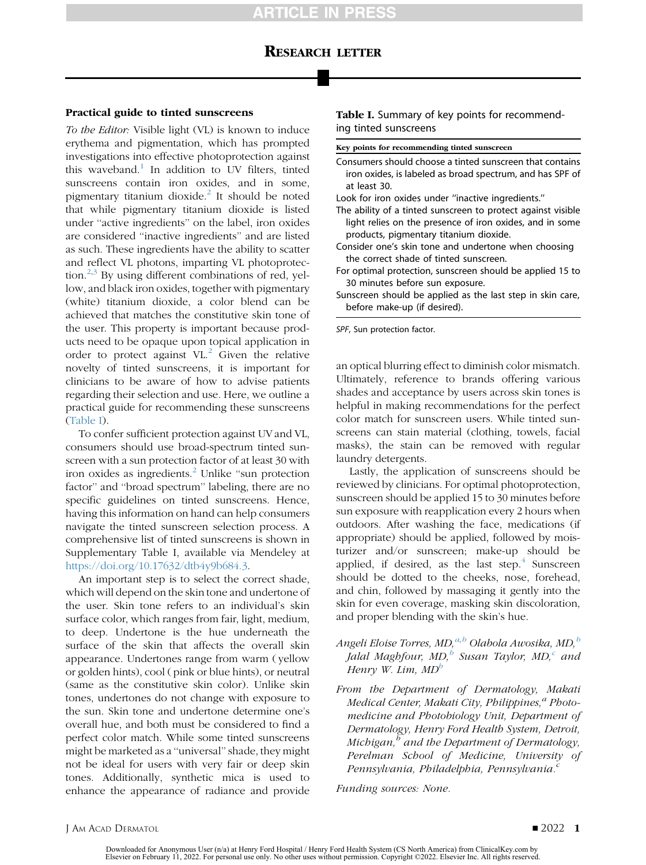## RESEARCH LETTER

### Practical guide to tinted sunscreens

To the Editor: Visible light (VL) is known to induce erythema and pigmentation, which has prompted investigations into effective photoprotection against this waveband.<sup>[1](#page-2-0)</sup> In addition to UV filters, tinted sunscreens contain iron oxides, and in some, pigmentary titanium dioxide.<sup>[2](#page-2-1)</sup> It should be noted that while pigmentary titanium dioxide is listed under ''active ingredients'' on the label, iron oxides are considered ''inactive ingredients'' and are listed as such. These ingredients have the ability to scatter and reflect VL photons, imparting VL photoprotection. $^{2,3}$  $^{2,3}$  $^{2,3}$  $^{2,3}$  By using different combinations of red, yellow, and black iron oxides, together with pigmentary (white) titanium dioxide, a color blend can be achieved that matches the constitutive skin tone of the user. This property is important because products need to be opaque upon topical application in order to protect against  $VL<sup>2</sup>$  $VL<sup>2</sup>$  $VL<sup>2</sup>$  Given the relative novelty of tinted sunscreens, it is important for clinicians to be aware of how to advise patients regarding their selection and use. Here, we outline a practical guide for recommending these sunscreens [\(Table I\)](#page-1-0).

To confer sufficient protection against UV and VL, consumers should use broad-spectrum tinted sunscreen with a sun protection factor of at least 30 with iron oxides as ingredients.<sup>[2](#page-2-1)</sup> Unlike "sun protection factor'' and ''broad spectrum'' labeling, there are no specific guidelines on tinted sunscreens. Hence, having this information on hand can help consumers navigate the tinted sunscreen selection process. A comprehensive list of tinted sunscreens is shown in Supplementary Table I, available via Mendeley at <https://doi.org/10.17632/dtb4y9b684.3>.

An important step is to select the correct shade, which will depend on the skin tone and undertone of the user. Skin tone refers to an individual's skin surface color, which ranges from fair, light, medium, to deep. Undertone is the hue underneath the surface of the skin that affects the overall skin appearance. Undertones range from warm ( yellow or golden hints), cool ( pink or blue hints), or neutral (same as the constitutive skin color). Unlike skin tones, undertones do not change with exposure to the sun. Skin tone and undertone determine one's overall hue, and both must be considered to find a perfect color match. While some tinted sunscreens might be marketed as a ''universal'' shade, they might not be ideal for users with very fair or deep skin tones. Additionally, synthetic mica is used to enhance the appearance of radiance and provide

<span id="page-1-0"></span>Table I. Summary of key points for recommending tinted sunscreens

Key points for recommending tinted sunscreen

- Consumers should choose a tinted sunscreen that contains iron oxides, is labeled as broad spectrum, and has SPF of at least 30.
- Look for iron oxides under ''inactive ingredients.''
- The ability of a tinted sunscreen to protect against visible light relies on the presence of iron oxides, and in some products, pigmentary titanium dioxide.
- Consider one's skin tone and undertone when choosing the correct shade of tinted sunscreen.
- For optimal protection, sunscreen should be applied 15 to 30 minutes before sun exposure.
- Sunscreen should be applied as the last step in skin care, before make-up (if desired).

SPF, Sun protection factor.

an optical blurring effect to diminish color mismatch. Ultimately, reference to brands offering various shades and acceptance by users across skin tones is helpful in making recommendations for the perfect color match for sunscreen users. While tinted sunscreens can stain material (clothing, towels, facial masks), the stain can be removed with regular laundry detergents.

Lastly, the application of sunscreens should be reviewed by clinicians. For optimal photoprotection, sunscreen should be applied 15 to 30 minutes before sun exposure with reapplication every 2 hours when outdoors. After washing the face, medications (if appropriate) should be applied, followed by moisturizer and/or sunscreen; make-up should be applied, if desired, as the last step. $4$  Sunscreen should be dotted to the cheeks, nose, forehead, and chin, followed by massaging it gently into the skin for even coverage, masking skin discoloration, and proper blending with the skin's hue.

- Angeli Eloise Torres, MD,<sup>a,b</sup> Olabola Awosika, MD,<sup>b</sup> Jalal Maghfour,  $MD$ ,<sup>b</sup> Susan Taylor,  $MD$ , $c$  and Henry W. Lim,  $MD^b$
- From the Department of Dermatology, Makati Medical Center, Makati City, Philippines, $a$  Photomedicine and Photobiology Unit, Department of Dermatology, Henry Ford Health System, Detroit, Michigan, $<sup>b</sup>$  and the Department of Dermatology,</sup> Perelman School of Medicine, University of Pennsylvania, Philadelphia, Pennsylvania.<sup>c</sup>

Funding sources: None.

J AM ACAD DERMATOL **DERMATOL** 2022 1

Downloaded for Anonymous User (n/a) at Henry Ford Hospital / Henry Ford Health System (CS North America) from ClinicalKey.com by Elsevier on February 11, 2022. For personal use only. No other uses without permission. Copyright ©2022. Elsevier Inc. All rights reserved.